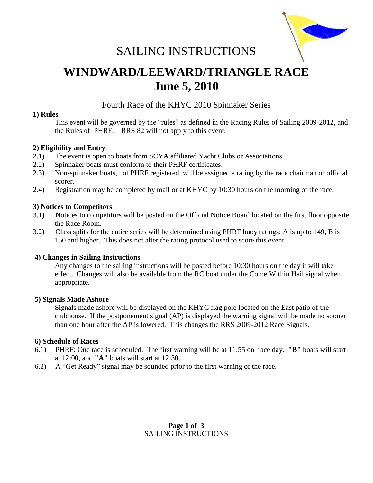

# SAILING INSTRUCTIONS

# **WINDWARD/LEEWARD/TRIANGLE RACE June 5, 2010**

# Fourth Race of the KHYC 2010 Spinnaker Series

### **1) Rules**

This event will be governed by the "rules" as defined in the Racing Rules of Sailing 2009-2012, and the Rules of PHRF. RRS 82 will not apply to this event.

## **2) Eligibility and Entry**

- 2.1) The event is open to boats from SCYA affiliated Yacht Clubs or Associations.
- 2.2) Spinnaker boats must conform to their PHRF certificates.
- 2.3) Non-spinnaker boats, not PHRF registered, will be assigned a rating by the race chairman or official scorer.
- 2.4) Registration may be completed by mail or at KHYC by 10:30 hours on the morning of the race.

### **3) Notices to Competitors**

- 3.1) Notices to competitors will be posted on the Official Notice Board located on the first floor opposite the Race Room.
- 3.2) Class splits for the entire series will be determined using PHRF buoy ratings; A is up to 149, B is 150 and higher. This does not alter the rating protocol used to score this event.

#### **4) Changes in Sailing Instructions**

Any changes to the sailing instructions will be posted before 10:30 hours on the day it will take effect. Changes will also be available from the RC boat under the Come Within Hail signal when appropriate.

#### **5) Signals Made Ashore**

 Signals made ashore will be displayed on the KHYC flag pole located on the East patio of the clubhouse. If the postponement signal (AP) is displayed the warning signal will be made no sooner than one hour after the AP is lowered. This changes the RRS 2009-2012 Race Signals.

#### **6) Schedule of Races**

- 6.1) PHRF: One race is scheduled. The first warning will be at 11:55 on race day. **"B"** boats will start at 12:00, and **"A"** boats will start at 12:30.
- 6.2) A "Get Ready" signal may be sounded prior to the first warning of the race.

### **Page 1 of 3** SAILING INSTRUCTIONS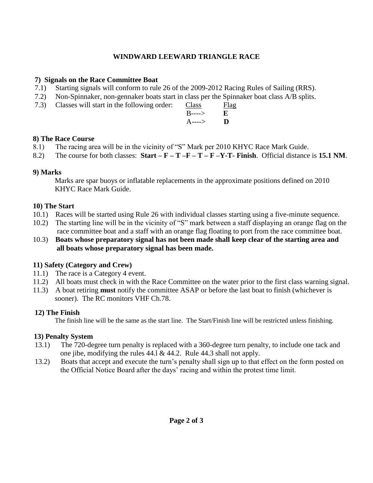# **WINDWARD LEEWARD TRIANGLE RACE**

## **7) Signals on the Race Committee Boat**

- 7.1) Starting signals will conform to rule 26 of the 2009-2012 Racing Rules of Sailing (RRS).
- 7.2) Non-Spinnaker, non-gennaker boats start in class per the Spinnaker boat class A/B splits.
- 7.3) Classes will start in the following order: Class Flag

| $\mu$ start in the rollowing order. | Crabb                      | 1 I L        |
|-------------------------------------|----------------------------|--------------|
|                                     | $B$ ---->                  | $\mathbf{E}$ |
|                                     | $A \rightarrow \mathbf{D}$ |              |

# **8) The Race Course**

- 8.1) The racing area will be in the vicinity of "S" Mark per 2010 KHYC Race Mark Guide.
- 8.2) The course for both classes:  $Start F T F T F Y T$  **Finish**. Official distance is 15.1 NM.

# **9) Marks**

 Marks are spar buoys or inflatable replacements in the approximate positions defined on 2010 KHYC Race Mark Guide.

# **10) The Start**

- 10.1) Races will be started using Rule 26 with individual classes starting using a five-minute sequence.
- 10.2) The starting line will be in the vicinity of "S" mark between a staff displaying an orange flag on the race committee boat and a staff with an orange flag floating to port from the race committee boat.
- 10.3) **Boats whose preparatory signal has not been made shall keep clear of the starting area and all boats whose preparatory signal has been made.**

# **11) Safety (Category and Crew)**

- 11.1) The race is a Category 4 event.
- 11.2) All boats must check in with the Race Committee on the water prior to the first class warning signal.
- 11.3) A boat retiring **must** notify the committee ASAP or before the last boat to finish (whichever is sooner). The RC monitors VHF Ch.78.

# **12) The Finish**

The finish line will be the same as the start line. The Start/Finish line will be restricted unless finishing.

# **13) Penalty System**

- 13.1) The 720-degree turn penalty is replaced with a 360-degree turn penalty, to include one tack and one jibe, modifying the rules 44.l & 44.2. Rule 44.3 shall not apply.
- 13.2) Boats that accept and execute the turn's penalty shall sign up to that effect on the form posted on the Official Notice Board after the days' racing and within the protest time limit.